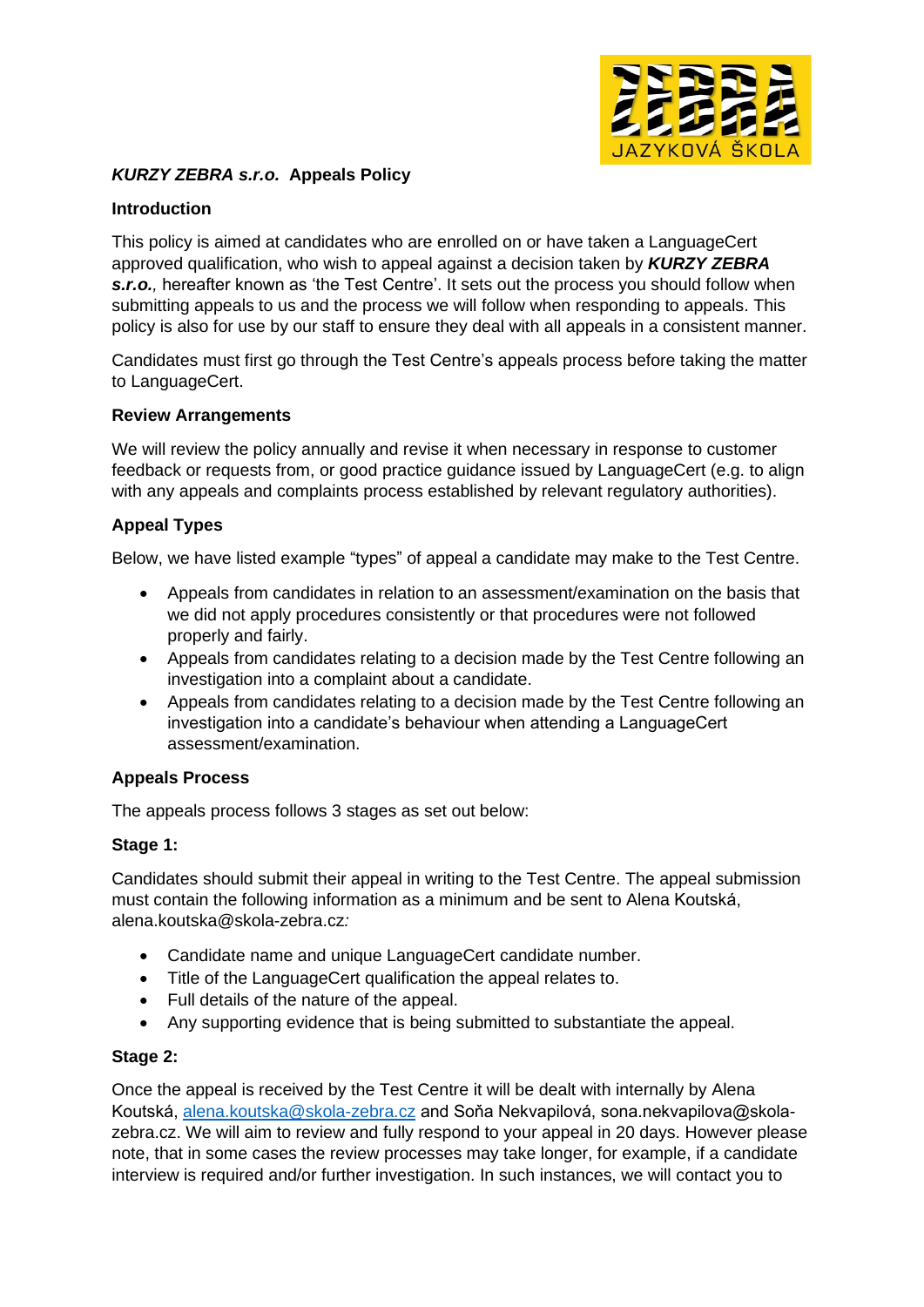

# *KURZY ZEBRA s.r.o.* **Appeals Policy**

### **Introduction**

This policy is aimed at candidates who are enrolled on or have taken a LanguageCert approved qualification, who wish to appeal against a decision taken by *KURZY ZEBRA*  **s.r.o.**, hereafter known as 'the Test Centre'. It sets out the process you should follow when submitting appeals to us and the process we will follow when responding to appeals. This policy is also for use by our staff to ensure they deal with all appeals in a consistent manner.

Candidates must first go through the Test Centre's appeals process before taking the matter to LanguageCert.

#### **Review Arrangements**

We will review the policy annually and revise it when necessary in response to customer feedback or requests from, or good practice guidance issued by LanguageCert (e.g. to align with any appeals and complaints process established by relevant regulatory authorities).

# **Appeal Types**

Below, we have listed example "types" of appeal a candidate may make to the Test Centre.

- Appeals from candidates in relation to an assessment/examination on the basis that we did not apply procedures consistently or that procedures were not followed properly and fairly.
- Appeals from candidates relating to a decision made by the Test Centre following an investigation into a complaint about a candidate.
- Appeals from candidates relating to a decision made by the Test Centre following an investigation into a candidate's behaviour when attending a LanguageCert assessment/examination.

### **Appeals Process**

The appeals process follows 3 stages as set out below:

### **Stage 1:**

Candidates should submit their appeal in writing to the Test Centre. The appeal submission must contain the following information as a minimum and be sent to Alena Koutská, alena.koutska@skola-zebra.cz*:*

- Candidate name and unique LanguageCert candidate number.
- Title of the LanguageCert qualification the appeal relates to.
- Full details of the nature of the appeal.
- Any supporting evidence that is being submitted to substantiate the appeal.

### **Stage 2:**

Once the appeal is received by the Test Centre it will be dealt with internally by Alena Koutská, [alena.koutska@skola-zebra.cz](mailto:alena.koutska@skola-zebra.cz) and Soňa Nekvapilová, sona.nekvapilova@skolazebra.cz. We will aim to review and fully respond to your appeal in 20 days. However please note, that in some cases the review processes may take longer, for example, if a candidate interview is required and/or further investigation. In such instances, we will contact you to